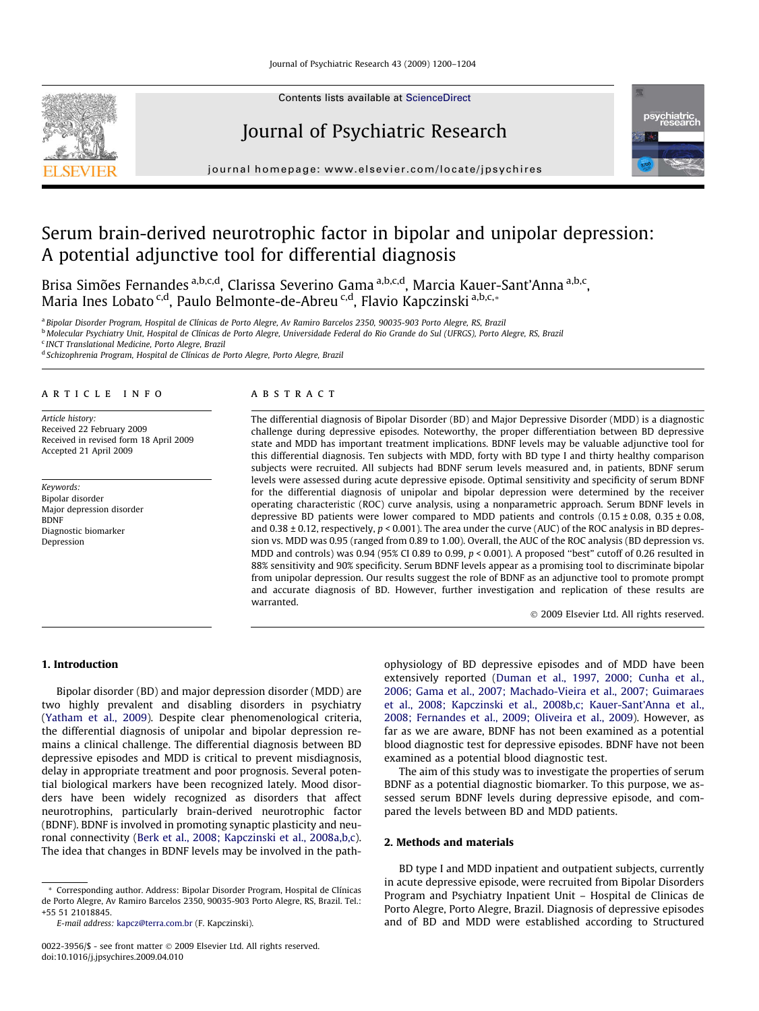

Contents lists available at [ScienceDirect](http://www.sciencedirect.com/science/journal/00223956)

## Journal of Psychiatric Research



journal homepage: [www.elsevier.com/locate/jpsychires](http://www.elsevier.com/locate/jpsychires)

# Serum brain-derived neurotrophic factor in bipolar and unipolar depression: A potential adjunctive tool for differential diagnosis

Brisa Simões Fernandes <sup>a,b,c,d</sup>, Clarissa Severino Gama <sup>a,b,c,d</sup>, Marcia Kauer-Sant'Anna <sup>a,b,c</sup>, Maria Ines Lobato <sup>c,d</sup>, Paulo Belmonte-de-Abreu <sup>c,d</sup>, Flavio Kapczinski <sup>a,b,c,</sup>\*

<sup>a</sup> Bipolar Disorder Program, Hospital de Clínicas de Porto Alegre, Av Ramiro Barcelos 2350, 90035-903 Porto Alegre, RS, Brazil

<sup>b</sup> Molecular Psychiatry Unit, Hospital de Clínicas de Porto Alegre, Universidade Federal do Rio Grande do Sul (UFRGS), Porto Alegre, RS, Brazil

<sup>c</sup> INCT Translational Medicine, Porto Alegre, Brazil

<sup>d</sup> Schizophrenia Program, Hospital de Clínicas de Porto Alegre, Porto Alegre, Brazil

## article info

Article history: Received 22 February 2009 Received in revised form 18 April 2009 Accepted 21 April 2009

Keywords: Bipolar disorder Major depression disorder BDNF Diagnostic biomarker Depression

## **ABSTRACT**

The differential diagnosis of Bipolar Disorder (BD) and Major Depressive Disorder (MDD) is a diagnostic challenge during depressive episodes. Noteworthy, the proper differentiation between BD depressive state and MDD has important treatment implications. BDNF levels may be valuable adjunctive tool for this differential diagnosis. Ten subjects with MDD, forty with BD type I and thirty healthy comparison subjects were recruited. All subjects had BDNF serum levels measured and, in patients, BDNF serum levels were assessed during acute depressive episode. Optimal sensitivity and specificity of serum BDNF for the differential diagnosis of unipolar and bipolar depression were determined by the receiver operating characteristic (ROC) curve analysis, using a nonparametric approach. Serum BDNF levels in depressive BD patients were lower compared to MDD patients and controls  $(0.15 \pm 0.08, 0.35 \pm 0.08,$ and  $0.38 \pm 0.12$ , respectively,  $p < 0.001$ ). The area under the curve (AUC) of the ROC analysis in BD depression vs. MDD was 0.95 (ranged from 0.89 to 1.00). Overall, the AUC of the ROC analysis (BD depression vs. MDD and controls) was 0.94 (95% CI 0.89 to 0.99,  $p < 0.001$ ). A proposed "best" cutoff of 0.26 resulted in 88% sensitivity and 90% specificity. Serum BDNF levels appear as a promising tool to discriminate bipolar from unipolar depression. Our results suggest the role of BDNF as an adjunctive tool to promote prompt and accurate diagnosis of BD. However, further investigation and replication of these results are warranted.

- 2009 Elsevier Ltd. All rights reserved.

## 1. Introduction

Bipolar disorder (BD) and major depression disorder (MDD) are two highly prevalent and disabling disorders in psychiatry ([Yatham et al., 2009](#page--1-0)). Despite clear phenomenological criteria, the differential diagnosis of unipolar and bipolar depression remains a clinical challenge. The differential diagnosis between BD depressive episodes and MDD is critical to prevent misdiagnosis, delay in appropriate treatment and poor prognosis. Several potential biological markers have been recognized lately. Mood disorders have been widely recognized as disorders that affect neurotrophins, particularly brain-derived neurotrophic factor (BDNF). BDNF is involved in promoting synaptic plasticity and neuronal connectivity ([Berk et al., 2008; Kapczinski et al., 2008a,b,c\)](#page--1-0). The idea that changes in BDNF levels may be involved in the path-

\* Corresponding author. Address: Bipolar Disorder Program, Hospital de Clínicas de Porto Alegre, Av Ramiro Barcelos 2350, 90035-903 Porto Alegre, RS, Brazil. Tel.: +55 51 21018845.

E-mail address: [kapcz@terra.com.br](mailto:kapcz@terra.com.br) (F. Kapczinski).

ophysiology of BD depressive episodes and of MDD have been extensively reported ([Duman et al., 1997, 2000; Cunha et al.,](#page--1-0) [2006; Gama et al., 2007; Machado-Vieira et al., 2007; Guimaraes](#page--1-0) [et al., 2008; Kapczinski et al., 2008b,c; Kauer-Sant'Anna et al.,](#page--1-0) [2008; Fernandes et al., 2009; Oliveira et al., 2009\)](#page--1-0). However, as far as we are aware, BDNF has not been examined as a potential blood diagnostic test for depressive episodes. BDNF have not been examined as a potential blood diagnostic test.

The aim of this study was to investigate the properties of serum BDNF as a potential diagnostic biomarker. To this purpose, we assessed serum BDNF levels during depressive episode, and compared the levels between BD and MDD patients.

## 2. Methods and materials

BD type I and MDD inpatient and outpatient subjects, currently in acute depressive episode, were recruited from Bipolar Disorders Program and Psychiatry Inpatient Unit – Hospital de Clinicas de Porto Alegre, Porto Alegre, Brazil. Diagnosis of depressive episodes and of BD and MDD were established according to Structured

<sup>0022-3956/\$ -</sup> see front matter © 2009 Elsevier Ltd. All rights reserved. doi:10.1016/j.jpsychires.2009.04.010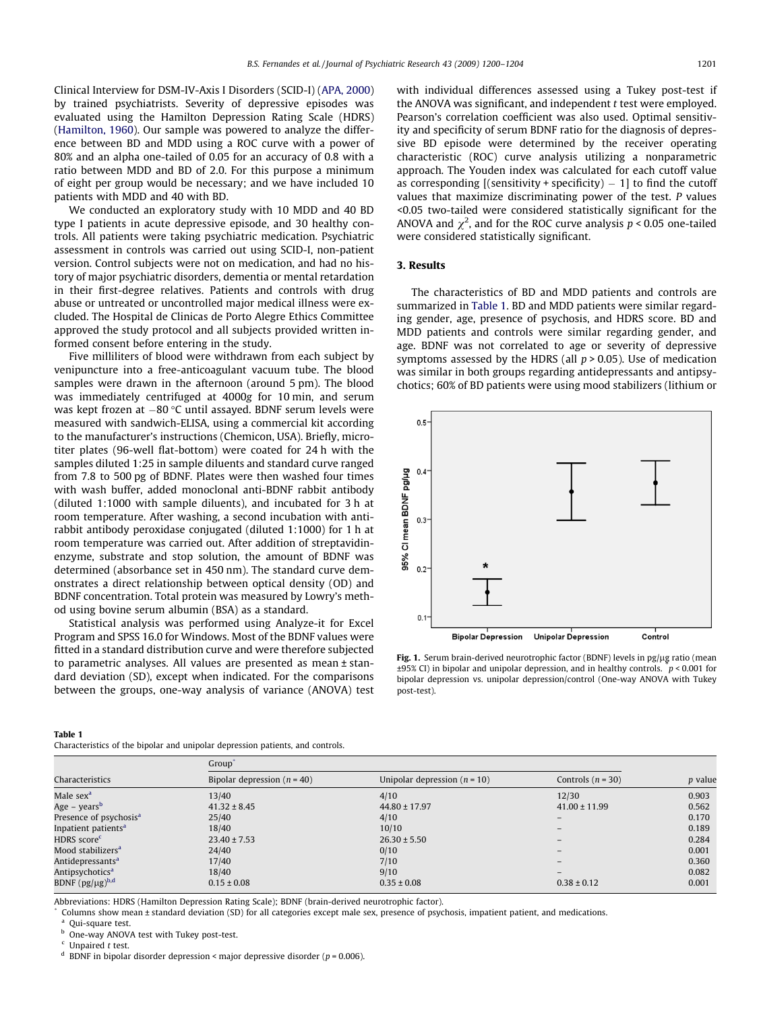Clinical Interview for DSM-IV-Axis I Disorders (SCID-I) [\(APA, 2000\)](#page--1-0) by trained psychiatrists. Severity of depressive episodes was evaluated using the Hamilton Depression Rating Scale (HDRS) ([Hamilton, 1960\)](#page--1-0). Our sample was powered to analyze the difference between BD and MDD using a ROC curve with a power of 80% and an alpha one-tailed of 0.05 for an accuracy of 0.8 with a ratio between MDD and BD of 2.0. For this purpose a minimum of eight per group would be necessary; and we have included 10 patients with MDD and 40 with BD.

We conducted an exploratory study with 10 MDD and 40 BD type I patients in acute depressive episode, and 30 healthy controls. All patients were taking psychiatric medication. Psychiatric assessment in controls was carried out using SCID-I, non-patient version. Control subjects were not on medication, and had no history of major psychiatric disorders, dementia or mental retardation in their first-degree relatives. Patients and controls with drug abuse or untreated or uncontrolled major medical illness were excluded. The Hospital de Clinicas de Porto Alegre Ethics Committee approved the study protocol and all subjects provided written informed consent before entering in the study.

Five milliliters of blood were withdrawn from each subject by venipuncture into a free-anticoagulant vacuum tube. The blood samples were drawn in the afternoon (around 5 pm). The blood was immediately centrifuged at 4000g for 10 min, and serum was kept frozen at  $-80\,^{\circ}\textrm{C}$  until assayed. BDNF serum levels were measured with sandwich-ELISA, using a commercial kit according to the manufacturer's instructions (Chemicon, USA). Briefly, microtiter plates (96-well flat-bottom) were coated for 24 h with the samples diluted 1:25 in sample diluents and standard curve ranged from 7.8 to 500 pg of BDNF. Plates were then washed four times with wash buffer, added monoclonal anti-BDNF rabbit antibody (diluted 1:1000 with sample diluents), and incubated for 3 h at room temperature. After washing, a second incubation with antirabbit antibody peroxidase conjugated (diluted 1:1000) for 1 h at room temperature was carried out. After addition of streptavidinenzyme, substrate and stop solution, the amount of BDNF was determined (absorbance set in 450 nm). The standard curve demonstrates a direct relationship between optical density (OD) and BDNF concentration. Total protein was measured by Lowry's method using bovine serum albumin (BSA) as a standard.

Statistical analysis was performed using Analyze-it for Excel Program and SPSS 16.0 for Windows. Most of the BDNF values were fitted in a standard distribution curve and were therefore subjected to parametric analyses. All values are presented as mean ± standard deviation (SD), except when indicated. For the comparisons between the groups, one-way analysis of variance (ANOVA) test

#### Table 1

Characteristics of the bipolar and unipolar depression patients, and controls.

with individual differences assessed using a Tukey post-test if the ANOVA was significant, and independent t test were employed. Pearson's correlation coefficient was also used. Optimal sensitivity and specificity of serum BDNF ratio for the diagnosis of depressive BD episode were determined by the receiver operating characteristic (ROC) curve analysis utilizing a nonparametric approach. The Youden index was calculated for each cutoff value as corresponding [(sensitivity + specificity)  $-1$ ] to find the cutoff values that maximize discriminating power of the test. P values <0.05 two-tailed were considered statistically significant for the ANOVA and  $\chi^2$ , and for the ROC curve analysis  $p < 0.05$  one-tailed were considered statistically significant.

### 3. Results

The characteristics of BD and MDD patients and controls are summarized in Table 1. BD and MDD patients were similar regarding gender, age, presence of psychosis, and HDRS score. BD and MDD patients and controls were similar regarding gender, and age. BDNF was not correlated to age or severity of depressive symptoms assessed by the HDRS (all  $p > 0.05$ ). Use of medication was similar in both groups regarding antidepressants and antipsychotics; 60% of BD patients were using mood stabilizers (lithium or



Fig. 1. Serum brain-derived neurotrophic factor (BDNF) levels in pg/ $\mu$ g ratio (mean  $\pm$ 95% CI) in bipolar and unipolar depression, and in healthy controls.  $\mu$  < 0.001 for bipolar depression vs. unipolar depression/control (One-way ANOVA with Tukey post-test).

| Characteristics                    | Group <sup>®</sup>            |                                |                     |         |
|------------------------------------|-------------------------------|--------------------------------|---------------------|---------|
|                                    | Bipolar depression $(n = 40)$ | Unipolar depression $(n = 10)$ | Controls $(n = 30)$ | p value |
| Male sex <sup>a</sup>              | 13/40                         | 4/10                           | 12/30               | 0.903   |
| Age – years <sup>b</sup>           | $41.32 \pm 8.45$              | $44.80 \pm 17.97$              | $41.00 \pm 11.99$   | 0.562   |
| Presence of psychosis <sup>a</sup> | 25/40                         | 4/10                           |                     | 0.170   |
| Inpatient patients <sup>a</sup>    | 18/40                         | 10/10                          |                     | 0.189   |
| HDRS score <sup>c</sup>            | $23.40 \pm 7.53$              | $26.30 \pm 5.50$               |                     | 0.284   |
| Mood stabilizers <sup>a</sup>      | 24/40                         | 0/10                           |                     | 0.001   |
| Antidepressants <sup>a</sup>       | 17/40                         | 7/10                           |                     | 0.360   |
| Antipsychotics <sup>a</sup>        | 18/40                         | 9/10                           |                     | 0.082   |
| BDNF $(pg/\mu g)^{b,d}$            | $0.15 \pm 0.08$               | $0.35 \pm 0.08$                | $0.38 \pm 0.12$     | 0.001   |

Abbreviations: HDRS (Hamilton Depression Rating Scale); BDNF (brain-derived neurotrophic factor).

Columns show mean ± standard deviation (SD) for all categories except male sex, presence of psychosis, impatient patient, and medications.

 $^a$  Qui-square test.

One-way ANOVA test with Tukey post-test.

 $\frac{c}{d}$  Unpaired *t* test.

BDNF in bipolar disorder depression < major depressive disorder ( $p = 0.006$ ).